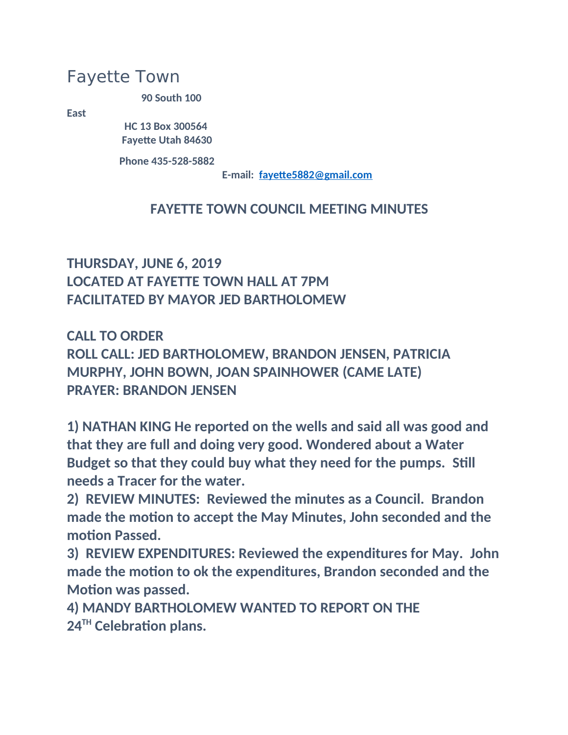## Fayette Town

**90 South 100** 

**East**

 **HC 13 Box 300564 Fayette Utah 84630**

 **Phone 435-528-5882**

 **E-mail: [fayette5882@gmail.com](mailto:fayette5882@gmail.com)**

## **FAYETTE TOWN COUNCIL MEETING MINUTES**

## **THURSDAY, JUNE 6, 2019 LOCATED AT FAYETTE TOWN HALL AT 7PM FACILITATED BY MAYOR JED BARTHOLOMEW**

**CALL TO ORDER ROLL CALL: JED BARTHOLOMEW, BRANDON JENSEN, PATRICIA MURPHY, JOHN BOWN, JOAN SPAINHOWER (CAME LATE) PRAYER: BRANDON JENSEN**

**1) NATHAN KING He reported on the wells and said all was good and that they are full and doing very good. Wondered about a Water Budget so that they could buy what they need for the pumps. Still needs a Tracer for the water.**

**2) REVIEW MINUTES: Reviewed the minutes as a Council. Brandon made the motion to accept the May Minutes, John seconded and the motion Passed.**

**3) REVIEW EXPENDITURES: Reviewed the expenditures for May. John made the motion to ok the expenditures, Brandon seconded and the Motion was passed.**

**4) MANDY BARTHOLOMEW WANTED TO REPORT ON THE 24TH Celebration plans.**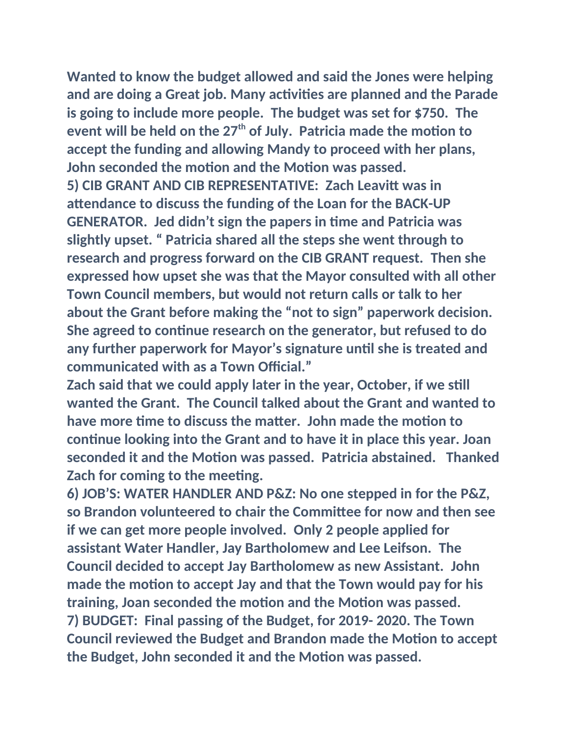**Wanted to know the budget allowed and said the Jones were helping and are doing a Great job. Many activities are planned and the Parade is going to include more people. The budget was set for \$750. The event will be held on the 27th of July. Patricia made the motion to accept the funding and allowing Mandy to proceed with her plans, John seconded the motion and the Motion was passed. 5) CIB GRANT AND CIB REPRESENTATIVE: Zach Leavitt was in attendance to discuss the funding of the Loan for the BACK-UP GENERATOR. Jed didn't sign the papers in time and Patricia was** 

**slightly upset. " Patricia shared all the steps she went through to research and progress forward on the CIB GRANT request. Then she expressed how upset she was that the Mayor consulted with all other Town Council members, but would not return calls or talk to her about the Grant before making the "not to sign" paperwork decision. She agreed to continue research on the generator, but refused to do any further paperwork for Mayor's signature until she is treated and communicated with as a Town Official."**

**Zach said that we could apply later in the year, October, if we still wanted the Grant. The Council talked about the Grant and wanted to have more time to discuss the matter. John made the motion to continue looking into the Grant and to have it in place this year. Joan seconded it and the Motion was passed. Patricia abstained. Thanked Zach for coming to the meeting.**

**6) JOB'S: WATER HANDLER AND P&Z: No one stepped in for the P&Z, so Brandon volunteered to chair the Committee for now and then see if we can get more people involved. Only 2 people applied for assistant Water Handler, Jay Bartholomew and Lee Leifson. The Council decided to accept Jay Bartholomew as new Assistant. John made the motion to accept Jay and that the Town would pay for his training, Joan seconded the motion and the Motion was passed. 7) BUDGET: Final passing of the Budget, for 2019- 2020. The Town Council reviewed the Budget and Brandon made the Motion to accept the Budget, John seconded it and the Motion was passed.**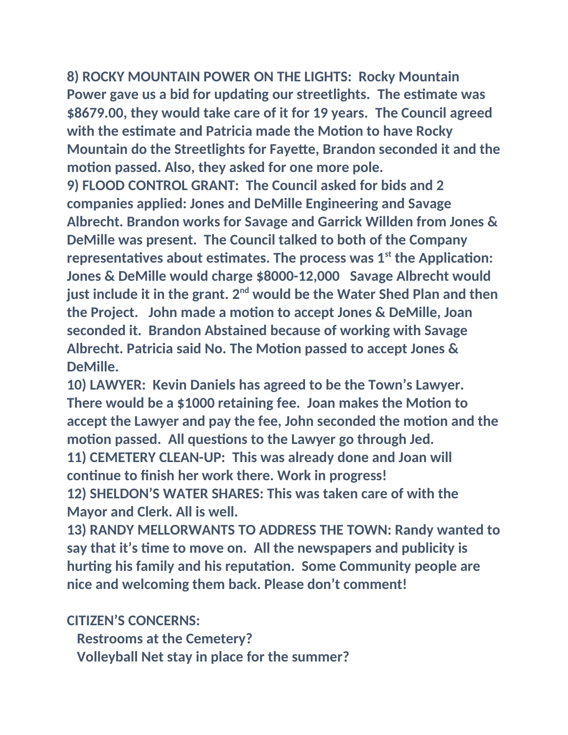**8) ROCKY MOUNTAIN POWER ON THE LIGHTS: Rocky Mountain Power gave us a bid for updating our streetlights. The estimate was \$8679.00, they would take care of it for 19 years. The Council agreed with the estimate and Patricia made the Motion to have Rocky Mountain do the Streetlights for Fayette, Brandon seconded it and the motion passed. Also, they asked for one more pole.**

**9) FLOOD CONTROL GRANT: The Council asked for bids and 2 companies applied: Jones and DeMille Engineering and Savage Albrecht. Brandon works for Savage and Garrick Willden from Jones & DeMille was present. The Council talked to both of the Company representatives about estimates. The process was 1st the Application: Jones & DeMille would charge \$8000-12,000 Savage Albrecht would just include it in the grant. 2nd would be the Water Shed Plan and then the Project. John made a motion to accept Jones & DeMille, Joan seconded it. Brandon Abstained because of working with Savage Albrecht. Patricia said No. The Motion passed to accept Jones & DeMille.**

**10) LAWYER: Kevin Daniels has agreed to be the Town's Lawyer. There would be a \$1000 retaining fee. Joan makes the Motion to accept the Lawyer and pay the fee, John seconded the motion and the motion passed. All questions to the Lawyer go through Jed. 11) CEMETERY CLEAN-UP: This was already done and Joan will continue to finish her work there. Work in progress! 12) SHELDON'S WATER SHARES: This was taken care of with the** 

**Mayor and Clerk. All is well.**

**13) RANDY MELLORWANTS TO ADDRESS THE TOWN: Randy wanted to say that it's time to move on. All the newspapers and publicity is hurting his family and his reputation. Some Community people are nice and welcoming them back. Please don't comment!**

**CITIZEN'S CONCERNS:**

 **Restrooms at the Cemetery?**

 **Volleyball Net stay in place for the summer?**